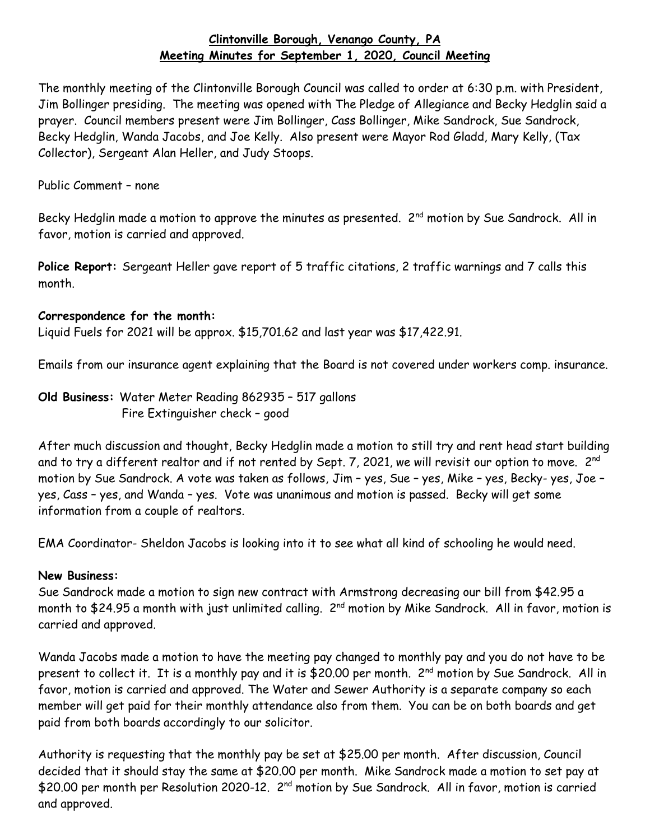## **Clintonville Borough, Venango County, PA Meeting Minutes for September 1, 2020, Council Meeting**

The monthly meeting of the Clintonville Borough Council was called to order at 6:30 p.m. with President, Jim Bollinger presiding. The meeting was opened with The Pledge of Allegiance and Becky Hedglin said a prayer. Council members present were Jim Bollinger, Cass Bollinger, Mike Sandrock, Sue Sandrock, Becky Hedglin, Wanda Jacobs, and Joe Kelly. Also present were Mayor Rod Gladd, Mary Kelly, (Tax Collector), Sergeant Alan Heller, and Judy Stoops.

Public Comment – none

Becky Hedglin made a motion to approve the minutes as presented. 2<sup>nd</sup> motion by Sue Sandrock. All in favor, motion is carried and approved.

**Police Report:** Sergeant Heller gave report of 5 traffic citations, 2 traffic warnings and 7 calls this month.

## **Correspondence for the month:**

Liquid Fuels for 2021 will be approx. \$15,701.62 and last year was \$17,422.91.

Emails from our insurance agent explaining that the Board is not covered under workers comp. insurance.

**Old Business:** Water Meter Reading 862935 – 517 gallons Fire Extinguisher check – good

After much discussion and thought, Becky Hedglin made a motion to still try and rent head start building and to try a different realtor and if not rented by Sept. 7, 2021, we will revisit our option to move.  $2^{\mathsf{nd}}$ motion by Sue Sandrock. A vote was taken as follows, Jim – yes, Sue – yes, Mike – yes, Becky- yes, Joe – yes, Cass – yes, and Wanda – yes. Vote was unanimous and motion is passed. Becky will get some information from a couple of realtors.

EMA Coordinator- Sheldon Jacobs is looking into it to see what all kind of schooling he would need.

## **New Business:**

Sue Sandrock made a motion to sign new contract with Armstrong decreasing our bill from \$42.95 a month to \$24.95 a month with just unlimited calling. 2<sup>nd</sup> motion by Mike Sandrock. All in favor, motion is carried and approved.

Wanda Jacobs made a motion to have the meeting pay changed to monthly pay and you do not have to be present to collect it. It is a monthly pay and it is \$20.00 per month. 2<sup>nd</sup> motion by Sue Sandrock. All in favor, motion is carried and approved. The Water and Sewer Authority is a separate company so each member will get paid for their monthly attendance also from them. You can be on both boards and get paid from both boards accordingly to our solicitor.

Authority is requesting that the monthly pay be set at \$25.00 per month. After discussion, Council decided that it should stay the same at \$20.00 per month. Mike Sandrock made a motion to set pay at \$20.00 per month per Resolution 2020-12. 2<sup>nd</sup> motion by Sue Sandrock. All in favor, motion is carried and approved.